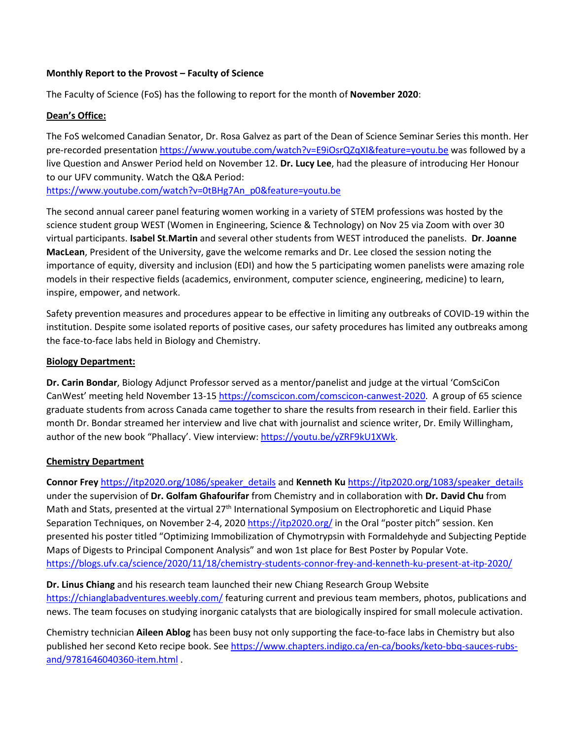### **Monthly Report to the Provost – Faculty of Science**

The Faculty of Science (FoS) has the following to report for the month of **November 2020**:

## **Dean's Office:**

The FoS welcomed Canadian Senator, Dr. Rosa Galvez as part of the Dean of Science Seminar Series this month. Her pre-recorded presentation<https://www.youtube.com/watch?v=E9iOsrQZqXI&feature=youtu.be> was followed by a live Question and Answer Period held on November 12. **Dr. Lucy Lee**, had the pleasure of introducing Her Honour to our UFV community. Watch the Q&A Period: [https://www.youtube.com/watch?v=0tBHg7An\\_p0&feature=youtu.be](https://www.youtube.com/watch?v=0tBHg7An_p0&feature=youtu.be)

The second annual career panel featuring women working in a variety of STEM professions was hosted by the science student group WEST (Women in Engineering, Science & Technology) on Nov 25 via Zoom with over 30 virtual participants. **Isabel St**.**Martin** and several other students from WEST introduced the panelists. **Dr**. **Joanne MacLean**, President of the University, gave the welcome remarks and Dr. Lee closed the session noting the importance of equity, diversity and inclusion (EDI) and how the 5 participating women panelists were amazing role models in their respective fields (academics, environment, computer science, engineering, medicine) to learn, inspire, empower, and network.

Safety prevention measures and procedures appear to be effective in limiting any outbreaks of COVID-19 within the institution. Despite some isolated reports of positive cases, our safety procedures has limited any outbreaks among the face-to-face labs held in Biology and Chemistry.

#### **Biology Department:**

**Dr. Carin Bondar**, Biology Adjunct Professor served as a mentor/panelist and judge at the virtual 'ComSciCon CanWest' meeting held November 13-1[5 https://comscicon.com/comscicon-canwest-2020.](https://comscicon.com/comscicon-canwest-2020) A group of 65 science graduate students from across Canada came together to share the results from research in their field. Earlier this month Dr. Bondar streamed her interview and live chat with journalist and science writer, Dr. Emily Willingham, author of the new book "Phallacy'. View interview: [https://youtu.be/yZRF9kU1XWk.](https://youtu.be/yZRF9kU1XWk)

# **Chemistry Department**

**Connor Frey** [https://itp2020.org/1086/speaker\\_details](https://itp2020.org/1086/speaker_details) and **Kenneth Ku** [https://itp2020.org/1083/speaker\\_details](https://itp2020.org/1083/speaker_details)  under the supervision of **Dr. Golfam Ghafourifar** from Chemistry and in collaboration with **Dr. David Chu** from Math and Stats, presented at the virtual 27<sup>th</sup> International Symposium on Electrophoretic and Liquid Phase Separation Techniques, on November 2-4, 2020<https://itp2020.org/> in the Oral "poster pitch" session. Ken presented his poster titled "Optimizing Immobilization of Chymotrypsin with Formaldehyde and Subjecting Peptide Maps of Digests to Principal Component Analysis" and won 1st place for Best Poster by Popular Vote. <https://blogs.ufv.ca/science/2020/11/18/chemistry-students-connor-frey-and-kenneth-ku-present-at-itp-2020/>

**Dr. Linus Chiang** and his research team launched their new Chiang Research Group Website <https://chianglabadventures.weebly.com/> featuring current and previous team members, photos, publications and news. The team focuses on studying inorganic catalysts that are biologically inspired for small molecule activation.

Chemistry technician **Aileen Ablog** has been busy not only supporting the face-to-face labs in Chemistry but also published her second Keto recipe book. See [https://www.chapters.indigo.ca/en-ca/books/keto-bbq-sauces-rubs](https://www.chapters.indigo.ca/en-ca/books/keto-bbq-sauces-rubs-and/9781646040360-item.html)[and/9781646040360-item.html](https://www.chapters.indigo.ca/en-ca/books/keto-bbq-sauces-rubs-and/9781646040360-item.html) .